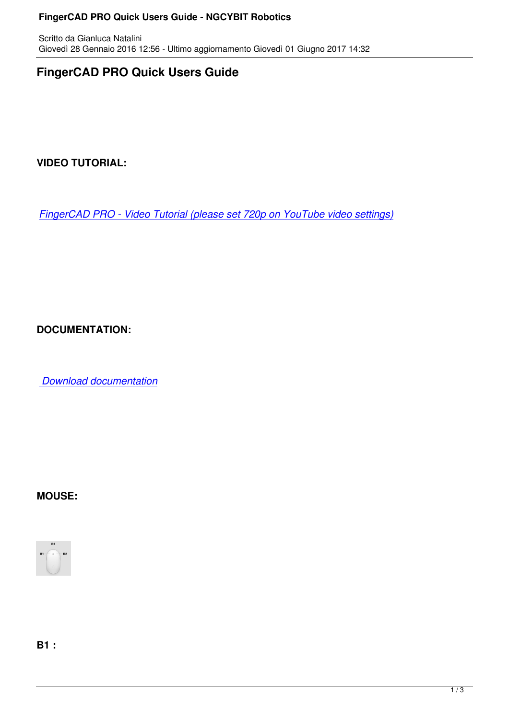# **FingerCAD PRO Quick Users Guide**

**VIDEO TUTORIAL:**

*FingerCAD PRO - Video Tutorial (please set 720p on YouTube video settings)*

**DOCUMENTATION:**

 *Download documentation*

#### **MOUSE:**



**B1 :**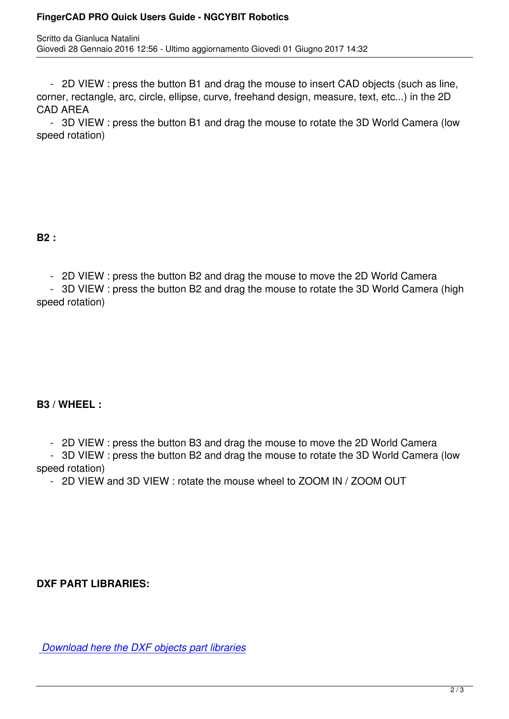- 2D VIEW : press the button B1 and drag the mouse to insert CAD objects (such as line, corner, rectangle, arc, circle, ellipse, curve, freehand design, measure, text, etc...) in the 2D CAD AREA

 - 3D VIEW : press the button B1 and drag the mouse to rotate the 3D World Camera (low speed rotation)

#### **B2 :**

- 2D VIEW : press the button B2 and drag the mouse to move the 2D World Camera

 - 3D VIEW : press the button B2 and drag the mouse to rotate the 3D World Camera (high speed rotation)

## **B3 / WHEEL :**

- 2D VIEW : press the button B3 and drag the mouse to move the 2D World Camera

 - 3D VIEW : press the button B2 and drag the mouse to rotate the 3D World Camera (low speed rotation)

- 2D VIEW and 3D VIEW : rotate the mouse wheel to ZOOM IN / ZOOM OUT

**DXF PART LIBRARIES:**

 *Download here the DXF objects part libraries*